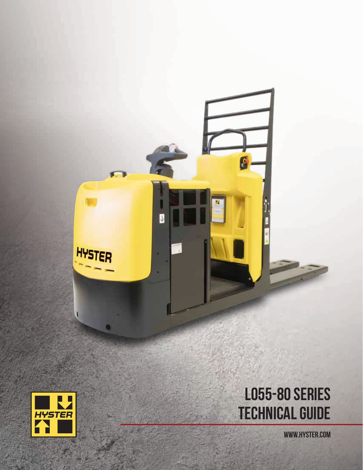

G

J

WWW.HYSTER.COM



HYSTER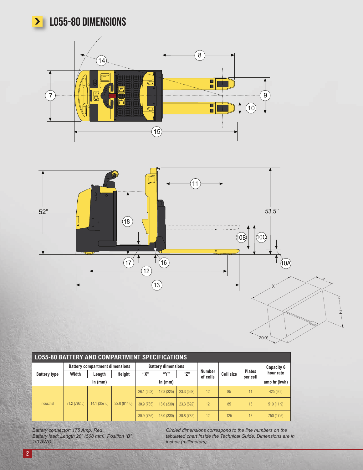

# **>** LO55-80 DIMENSIONS





| <b>LO55-80 BATTERY AND COMPARTMENT SPECIFICATIONS</b> |                                       |              |              |            |                           |            |                           |           |                           |              |  |
|-------------------------------------------------------|---------------------------------------|--------------|--------------|------------|---------------------------|------------|---------------------------|-----------|---------------------------|--------------|--|
| <b>Battery type</b>                                   | <b>Battery compartment dimensions</b> |              |              |            | <b>Battery dimensions</b> |            |                           |           |                           | Capacity 6   |  |
|                                                       | Width                                 | Length       | Height       | "Х"        | (1)                       | (57)       | <b>Number</b><br>of cells | Cell size | <b>Plates</b><br>per cell | hour rate    |  |
|                                                       | in $(mm)$                             |              |              | in $(mm)$  |                           |            |                           |           |                           | amp hr (kwh) |  |
|                                                       | 31.2 (792.0)                          | 14.1 (357.0) | 32.0 (814.0) | 26.1(663)  | 12.8(325)                 | 23.3 (592) | 12                        | 85        | 11                        | 425(9.9)     |  |
| Industrial                                            |                                       |              |              | 30.9 (785) | 13.0(330)                 | 23.3(592)  | 12                        | 85        | 13                        | 510(11.9)    |  |
|                                                       |                                       |              |              | 30.9 (785) | 13.0 (330)                | 30.8 (782) | 12                        | 125       | 13                        | 750 (17.5)   |  |

*Battery connector: 175 Amp. Red Battery lead: Length 20" (508 mm), Position "B", 1/0 AWG*

*Circled dimensions correspond to the line numbers on the tabulated chart inside the Technical Guide. Dimensions are in inches (millimeters).*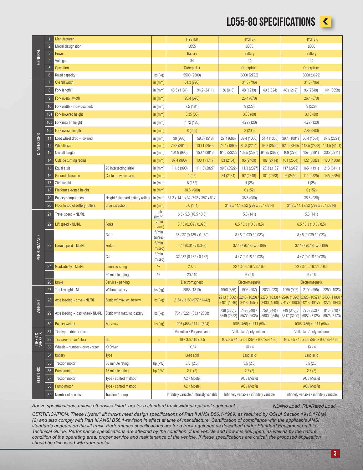## LO55-80 SPECIFICATIONS <



|                                           |                                     | Manufacturer                                                                                        |                                   |                             | <b>HYSTER</b>                             |              | <b>HYSTER</b>                                  |                                                                                                 |                                         | <b>HYSTER</b>                             |                                        |                            |  |
|-------------------------------------------|-------------------------------------|-----------------------------------------------------------------------------------------------------|-----------------------------------|-----------------------------|-------------------------------------------|--------------|------------------------------------------------|-------------------------------------------------------------------------------------------------|-----------------------------------------|-------------------------------------------|----------------------------------------|----------------------------|--|
|                                           | $\overline{2}$<br>Model designation |                                                                                                     |                                   | L055                        |                                           |              | L060                                           |                                                                                                 |                                         | L080                                      |                                        |                            |  |
| GENERAL<br>$\mathbf{3}$<br>$\overline{4}$ |                                     | Power                                                                                               |                                   |                             | <b>Battery</b>                            |              | <b>Battery</b>                                 |                                                                                                 |                                         | <b>Battery</b>                            |                                        |                            |  |
|                                           |                                     | Voltage<br>Operation                                                                                |                                   |                             | 34<br>Orderpicker                         |              | 24<br>Orderpicker                              |                                                                                                 |                                         | 24<br>Orderpicker                         |                                        |                            |  |
|                                           | $6\phantom{.}$                      | $\overline{5}$<br>Rated capacity                                                                    |                                   | lbs (kg)                    |                                           | 5500 (2500)  |                                                | 6000 (2722)                                                                                     |                                         |                                           | 8000 (3629)                            |                            |  |
|                                           | $\overline{7}$                      | Overall width                                                                                       |                                   |                             | 31.3 (796)                                |              | 31.3 (796)                                     |                                                                                                 |                                         | 31.3 (796)                                |                                        |                            |  |
|                                           | $\boldsymbol{8}$                    | Fork length                                                                                         |                                   | in $(mm)$<br>in $(mm)$      | 46.5 (1181)<br>94.9 (2411)                |              | 48 (1219)<br>36 (915)<br>60 (1524)             |                                                                                                 | 96 (2348)<br>48 (1219)                  |                                           | 144 (3658)                             |                            |  |
|                                           | 9                                   | Fork overall width                                                                                  |                                   |                             |                                           |              |                                                |                                                                                                 |                                         |                                           |                                        |                            |  |
|                                           |                                     |                                                                                                     |                                   |                             | 26.4 (670)<br>7.2 (184)                   |              | 26.4 (670)                                     |                                                                                                 |                                         | 26.4 (670)                                |                                        |                            |  |
|                                           | Fork width - individual fork<br>10  |                                                                                                     |                                   | in $(mm)$                   |                                           |              | 9(229)                                         |                                                                                                 |                                         | 9(229)                                    |                                        |                            |  |
|                                           |                                     | 10a Fork lowered height<br>10b Fork max lift height<br>Fork overall length                          |                                   | in $(mm)$                   | 3.35(85)                                  |              | 3.35(80)                                       |                                                                                                 |                                         | 3.15(80)                                  |                                        |                            |  |
|                                           |                                     |                                                                                                     |                                   | in $(mm)$                   |                                           | 4.72 (120)   |                                                | 4.72 (120)                                                                                      |                                         |                                           | 4.72 (120)                             |                            |  |
|                                           | 10c                                 |                                                                                                     |                                   | in $(mm)$                   | 8(205)                                    |              | 8 (205)                                        |                                                                                                 |                                         | 7.88 (200)                                |                                        |                            |  |
|                                           | 11                                  | Load wheel drop - lowered                                                                           |                                   |                             | 39 (990)                                  | 59.8 (1518)  | 27.4 (696)                                     | 39.4 (1000)                                                                                     | 51.4 (1306)                             | 39.4 (1001)                               | 60.4 (1534)                            | 87.5 (2221)                |  |
| <b>DIMENSIONS</b><br>12<br>13             |                                     | Wheelbase                                                                                           |                                   | in $(mm)$                   | 79.3 (2015)                               | 100.1 (2543) | 74.4 (1899)                                    | 86.8 (2204)                                                                                     | 98.8 (2509)                             | 92.5 (2349)                               | 113.5 (2882)                           | 161.5 (4101)               |  |
|                                           |                                     | Overall length                                                                                      |                                   | in (mm)                     | 101.9 (990)                               | 150.4 (3819) | 91.5 (2322)                                    | 103.5 (2627)                                                                                    | 94.25 (2932)                            | 109 (277)                                 | 157 (3991)                             | 205 (5211)                 |  |
|                                           | 14                                  | Outside turning radius                                                                              |                                   | in $(mm)$                   | 87.4 (990)                                | 108.1 (1747) | 83 (2104)                                      | 95 (2409)                                                                                       | 107 (2714)                              | 101 (2554)                                | 122 (3087)                             | 170 (4306)                 |  |
|                                           | 15                                  | Equal aisle                                                                                         | 90 Intersecting aisle             | in $(mm)$<br>in $(mm)$      | 111.3 (990)                               | 111.3 (2827) | 99.3 (2522)                                    | 111.3 (2827)                                                                                    | 123.3 (3132)                            | 117 (2972)                                | 165 (4191)                             | 213 (5411)                 |  |
|                                           | 16                                  | Ground clearance                                                                                    | Center of wheelbase               |                             | 1(25)                                     |              | 84 (2134)                                      | 92 (2348)                                                                                       | 101 (2563)                              | 96 (2450)                                 | 111 (2825)                             | 145 (3684)                 |  |
|                                           | 17                                  | Step height                                                                                         |                                   | in (mm)<br>in $(mm)$        | 6(152)                                    |              | 1(25)                                          |                                                                                                 |                                         | 1(25)                                     |                                        |                            |  |
|                                           | 18                                  | Platform elevated height                                                                            |                                   |                             | 38.6 (980)                                |              | 6(152)                                         |                                                                                                 |                                         | 6(152)                                    |                                        |                            |  |
|                                           | 19                                  | Battery compartment                                                                                 | Height / standard battery rollers |                             | 31.2 x 14.1 x 32 (792 x 357 x 814)        |              | 38.6 (980)                                     |                                                                                                 |                                         | 38.6 (980)                                |                                        |                            |  |
|                                           | 20                                  | Floor to top of battery rollers<br>Side extraction                                                  |                                   | in $(mm)$                   | 5.6(141)                                  |              | $31.2 \times 14.1 \times 32$ (792 x 357 x 814) |                                                                                                 |                                         | 31.2 x 14.1 x 32 (792 x 357 x 814)        |                                        |                            |  |
| 21<br>22<br>PERFORMANCE<br>23             |                                     | Travel speed - NL/RL                                                                                |                                   | mph<br>(km/h)               | 6.5 / 5.3 (10.5 / 8.5)                    |              | 5.6(141)                                       |                                                                                                 |                                         | 5.6(141)                                  |                                        |                            |  |
|                                           |                                     | Lift speed - NL/RL                                                                                  | <b>Forks</b>                      | ft/min<br>(m/sec)           | 8/5 (0.039 / 0.023)                       |              | 6.5 / 5.3 (10.5 / 8.5)                         |                                                                                                 |                                         | 6.5 / 5.3 (10.5 / 8.5)                    |                                        |                            |  |
|                                           |                                     |                                                                                                     | Cab                               |                             | 37 / 37 (0.189 x 0.189)                   |              | 8/5(0.039/0.023)                               |                                                                                                 |                                         | 8/5(0.039/0.023)                          |                                        |                            |  |
|                                           |                                     | Lower speed - NL/RL                                                                                 | <b>Forks</b>                      |                             | 4/7 (0.018/0.038)                         |              | 37 / 37 (0.189 x 0.189)                        |                                                                                                 |                                         | 37 / 37 (0.189 x 0.189)                   |                                        |                            |  |
|                                           |                                     |                                                                                                     | Cab                               |                             | 32 / 32 (0.162 / 0.162)                   |              | 4/7 (0.018/0.038)                              |                                                                                                 |                                         | 4/7(0.018/0.038)                          |                                        |                            |  |
|                                           | 24                                  | Gradeability - NL/RL<br>5 minute rating                                                             |                                   | %                           | 20/6                                      |              | 32 / 32 (0.162 / 0.162)                        |                                                                                                 |                                         | 32 / 32 (0.162 / 0.162)                   |                                        |                            |  |
|                                           |                                     | 60 minute rating                                                                                    |                                   | $\%$                        | 20/10                                     |              | 6/16                                           |                                                                                                 |                                         | 6/16                                      |                                        |                            |  |
| 26                                        |                                     | <b>Brake</b><br>Service / parking                                                                   |                                   |                             | Electromagnetic                           |              | Electromagnetic                                |                                                                                                 |                                         | Electromagnetic                           |                                        |                            |  |
| 27                                        |                                     | Truck weight - NL                                                                                   | Without battery                   | lbs (kg)                    | 2888 (1310)                               |              | 1950 (886)                                     | 1995 (907)                                                                                      | 2030 (923)                              | 1995 (907)                                | 2100 (955)                             | 2250 (1023)                |  |
| WEIGHT                                    | 28                                  | Axle loading - drive - NL/RL                                                                        | Static w/ max. wt. battery        |                             | 2154 / 3180 (977 / 1442)                  |              | 3401 (1546)                                    | 2213 (1006) / 2246 (1020) / 2273 (1033) / 2246 (1020) 2325 (1057) / 2438 (1108) /<br>3418(1554) | 3430 (1560)   4178 (1900)   4218 (1917) |                                           |                                        | 4275 (1943)                |  |
|                                           | 29                                  | Axle loading - load wheel- NL/RL<br>Static with max. wt. battery                                    |                                   | Ibs (kg)                    | 734 / 5221 (333 / 2368)                   |              | 738 (335) /<br>5549 (2522)                     | 749 (340) /<br>5577 (2535)                                                                      | 758 (344) /<br>5600 (2545)              | 749 (340) /                               | 775 (352) /<br>6817 (3100) 6882 (3128) | 813 (370) /<br>6975 (3170) |  |
|                                           | 30                                  | <b>Battery weight</b><br>Min/max                                                                    |                                   | $\mathsf{lbs}(\mathsf{kg})$ | 1005 (456) / 1111 (504)                   |              | 1005 (456) / 1111 (504)                        |                                                                                                 |                                         | 1005 (456) / 1111 (504)                   |                                        |                            |  |
| TIRES &<br>WHEELS                         | 31                                  | Tire type - drive / steer                                                                           |                                   |                             | Vulkollan / Polyurethane                  |              | Vulkollan / polyurethane                       |                                                                                                 |                                         | Vulkollan / polyurethane                  |                                        |                            |  |
|                                           | 32                                  | Std<br>Tire size - drive / steer                                                                    |                                   | in                          | $10 \times 3.5 / 10 \times 3.5$           |              | 10 x 3.5 / 10 x 3.5 (254 x 90 / 254 / 90)      |                                                                                                 |                                         | 10 x 3.5 / 10 x 3.5 (254 x 90 / 254 / 90) |                                        |                            |  |
|                                           | 33                                  | Wheels - number - drive / steer<br>X=Driven                                                         |                                   |                             | 1X/4                                      |              | 1X/4                                           |                                                                                                 |                                         | 1X/4                                      |                                        |                            |  |
| 34<br>35<br>ELECTRIC<br>36<br>37<br>38    | <b>Battery</b><br><b>Type</b>       |                                                                                                     |                                   | Lead acid                   |                                           | Lead acid    |                                                |                                                                                                 | Lead acid                               |                                           |                                        |                            |  |
|                                           |                                     | 60 minute rating<br>Traction motor                                                                  |                                   | hp (kW)                     | 3.5(2.6)                                  |              | 3.5(2.6)                                       |                                                                                                 |                                         | 3.5(2.6)                                  |                                        |                            |  |
|                                           |                                     | Pump motor<br>15 minute rating                                                                      |                                   | hp (kW)                     | 2.7(2)                                    |              | 2.7(2)                                         |                                                                                                 |                                         | 2.7(2)                                    |                                        |                            |  |
|                                           |                                     | Traction motor<br>Type / control method                                                             |                                   |                             | AC / Mosfet                               |              | AC / Mosfet                                    |                                                                                                 |                                         | AC / Mosfet                               |                                        |                            |  |
|                                           |                                     | Pump motor<br>Type / control method                                                                 |                                   |                             | AC / Mosfet                               |              | AC / Mosfet                                    |                                                                                                 |                                         | AC / Mosfet                               |                                        |                            |  |
| 39                                        |                                     | Number of speeds<br>Traction / pump                                                                 |                                   |                             | Infinitely variable / Infinitely variable |              | Infinitely variable / infinitely variable      |                                                                                                 |                                         | Infinitely variable / infinitely variable |                                        |                            |  |
|                                           |                                     | Above specifications, unless otherwise listed, are for a standard truck without optional equipment. |                                   |                             |                                           |              |                                                |                                                                                                 |                                         |                                           | NL=No Load, RL=Rated Load              |                            |  |

*CERTIFICATION: These Hyster® lift trucks meet design specifications of Part II ANSI B56.1-1969, as required by OSHA Section 1910.178(a) (2) and also comply with Part III ANSI B56.1-revision in effect at time of manufacture. Certification of compliance with the applicable ANSI standards appears on the lift truck. Performance specifications are for a truck equipped as described under Standard Equipment on this Technical Guide. Performance specifications are affected by the condition of the vehicle and how it is equipped, as well as by the nature, condition of the operating area, proper service and maintenance of the vehicle. If these specifications are critical, the proposed application should be discussed with your dealer.*

3